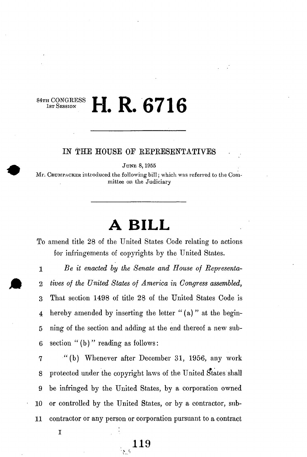## **HTH CONGRESS** H. R. 6716 **1ST SESSION |"| #**  $\frac{1}{\sqrt{2}}$  **Of I D**

## **IN THE HOUSE OF BEPRESENTATIVES**

**JUNE 8,195 5** 

Mr. CRUMPACKER introduced the following bill; which was referred to the Com**mittee on the Judiciary** 

## **A BILL**

To amend title 28 of the United States Code relating to actions for infringements of copyrights hy the United States.

**1** *Be it enacted by the Senate and House of Representa-*2 *tives of the United States of America in Congress assembled,*  3 That section 1498 of title 28 of the United States Code is 4 hereby amended by inserting the letter " (a) " at the begin-5 ning of the section and adding at the end thereof a new sub-6 section "(b) " reading as follows:

7 •" (b) Whenever after December 31, 1956, any work 8 protected under the copyright laws of the United States shall 9 be infringed by the United States, by a corporation owned **1 0** or controlled by the United States, or by a contractor, sub-**1 1** contractor or any person or corporation pursuant to a contract

**119** 

**.** 

**I**

 *:: The second contract of the second contract of the second contract of the second contract of the second contract of the second contract of the second contract of the second contract of the second contract of the secon*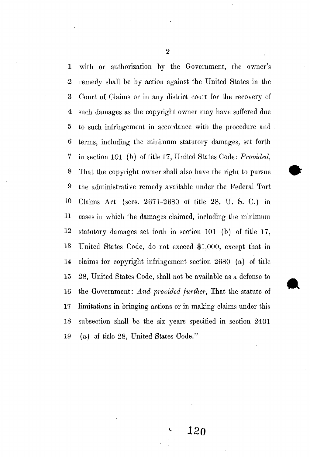with or authorization by the Government, the owner's remedy shall be by action against the United States in the 3 Court of Claims or in any district court for the recovery of such damages as the copyright owner may have suffered due to such infringement in accordance with the procedure and 6 terms, including the minimum statutory damages, set forth in section **10 1** (b) of title **17,** United States Code: *Provided,*  That the copyright owner shall also have the right to pursue the administrative remedy available under the Federal Tort **0** Claims Act (sees. **2671-268 0** of title **28 ,** U. S. C.) in **1** cases in which the damages claimed, including the minimimi **2** statutory damages set forth in section **10 1** (b) of title **17, 3** United States Code, do not exceed **\$1,000 ,** except that in **4** claims for copyright infringement section **268 0** (a) of title **5 28 ,** United States Code, shall not be available as a defense to **6** the Government: *And provided further,* That the statute of limitations in bringing actions or in making claims under this subsection shall be the six years specified in section **240 1 9** (a) of title **28 ,** United States Code."

 $\overline{2}$